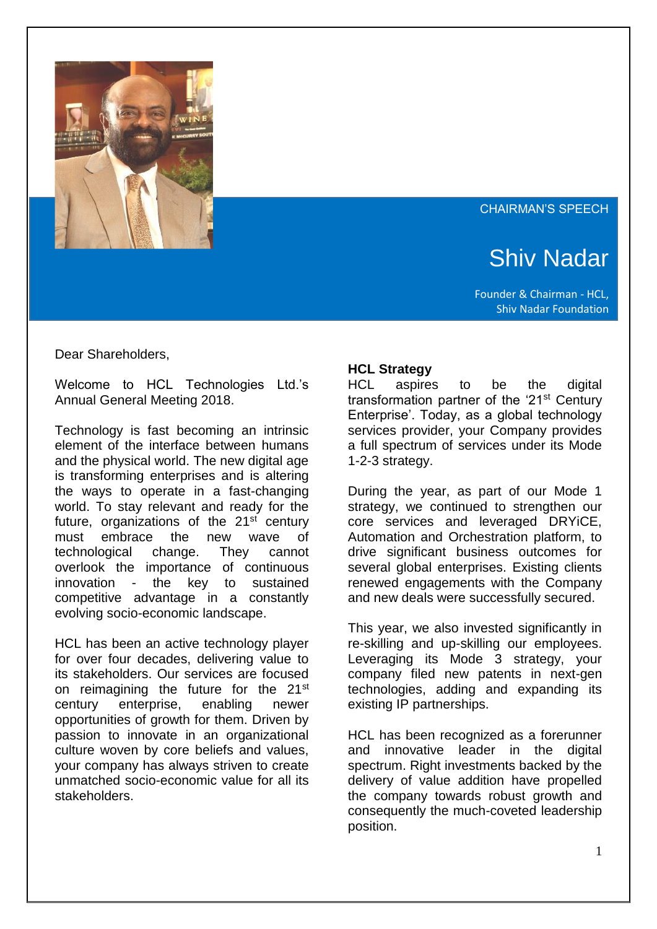

#### CHAIRMAN'S SPEECH

# Shiv Nadar

Founder & Chairman - HCL, Shiv Nadar Foundation

Dear Shareholders,

Welcome to HCL Technologies Ltd.'s Annual General Meeting 2018.

Technology is fast becoming an intrinsic element of the interface between humans and the physical world. The new digital age is transforming enterprises and is altering the ways to operate in a fast-changing world. To stay relevant and ready for the future, organizations of the 21<sup>st</sup> century must embrace the new wave of technological change. They cannot overlook the importance of continuous innovation - the key to sustained competitive advantage in a constantly evolving socio-economic landscape.

HCL has been an active technology player for over four decades, delivering value to its stakeholders. Our services are focused on reimagining the future for the 21<sup>st</sup> century enterprise, enabling newer opportunities of growth for them. Driven by passion to innovate in an organizational culture woven by core beliefs and values, your company has always striven to create unmatched socio-economic value for all its stakeholders.

## **HCL Strategy**

HCL aspires to be the digital transformation partner of the '21<sup>st</sup> Century Enterprise'. Today, as a global technology services provider, your Company provides a full spectrum of services under its Mode 1-2-3 strategy.

During the year, as part of our Mode 1 strategy, we continued to strengthen our core services and leveraged DRYiCE, Automation and Orchestration platform, to drive significant business outcomes for several global enterprises. Existing clients renewed engagements with the Company and new deals were successfully secured.

This year, we also invested significantly in re-skilling and up-skilling our employees. Leveraging its Mode 3 strategy, your company filed new patents in next-gen technologies, adding and expanding its existing IP partnerships.

HCL has been recognized as a forerunner and innovative leader in the digital spectrum. Right investments backed by the delivery of value addition have propelled the company towards robust growth and consequently the much-coveted leadership position.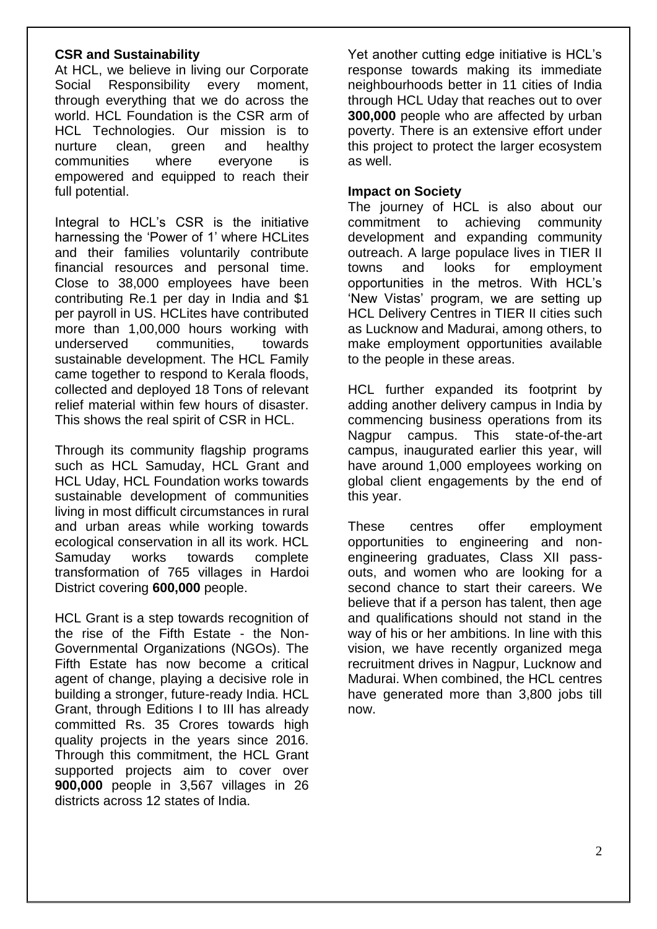## **CSR and Sustainability**

At HCL, we believe in living our Corporate Social Responsibility every moment, through everything that we do across the world. HCL Foundation is the CSR arm of HCL Technologies. Our mission is to nurture clean, green and healthy communities where everyone is empowered and equipped to reach their full potential.

Integral to HCL's CSR is the initiative harnessing the 'Power of 1' where HCLites and their families voluntarily contribute financial resources and personal time. Close to 38,000 employees have been contributing Re.1 per day in India and \$1 per payroll in US. HCLites have contributed more than 1,00,000 hours working with underserved communities, towards sustainable development. The HCL Family came together to respond to Kerala floods, collected and deployed 18 Tons of relevant relief material within few hours of disaster. This shows the real spirit of CSR in HCL.

Through its community flagship programs such as HCL Samuday, HCL Grant and HCL Uday, HCL Foundation works towards sustainable development of communities living in most difficult circumstances in rural and urban areas while working towards ecological conservation in all its work. HCL Samuday works towards complete transformation of 765 villages in Hardoi District covering **600,000** people.

HCL Grant is a step towards recognition of the rise of the Fifth Estate - the Non-Governmental Organizations (NGOs). The Fifth Estate has now become a critical agent of change, playing a decisive role in building a stronger, future-ready India. HCL Grant, through Editions I to III has already committed Rs. 35 Crores towards high quality projects in the years since 2016. Through this commitment, the HCL Grant supported projects aim to cover over **900,000** people in 3,567 villages in 26 districts across 12 states of India.

Yet another cutting edge initiative is HCL's response towards making its immediate neighbourhoods better in 11 cities of India through HCL Uday that reaches out to over **300,000** people who are affected by urban poverty. There is an extensive effort under this project to protect the larger ecosystem as well.

## **Impact on Society**

The journey of HCL is also about our commitment to achieving community development and expanding community outreach. A large populace lives in TIER II towns and looks for employment opportunities in the metros. With HCL's 'New Vistas' program, we are setting up HCL Delivery Centres in TIER II cities such as Lucknow and Madurai, among others, to make employment opportunities available to the people in these areas.

HCL further expanded its footprint by adding another delivery campus in India by commencing business operations from its Nagpur campus. This state-of-the-art campus, inaugurated earlier this year, will have around 1,000 employees working on global client engagements by the end of this year.

These centres offer employment opportunities to engineering and nonengineering graduates, Class XII passouts, and women who are looking for a second chance to start their careers. We believe that if a person has talent, then age and qualifications should not stand in the way of his or her ambitions. In line with this vision, we have recently organized mega recruitment drives in Nagpur, Lucknow and Madurai. When combined, the HCL centres have generated more than 3,800 jobs till now.